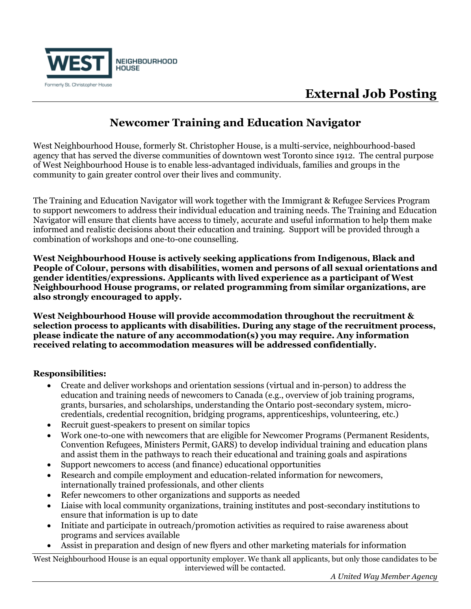

# **External Job Posting**

### **Newcomer Training and Education Navigator**

West Neighbourhood House, formerly St. Christopher House, is a multi-service, neighbourhood-based agency that has served the diverse communities of downtown west Toronto since 1912. The central purpose of West Neighbourhood House is to enable less-advantaged individuals, families and groups in the community to gain greater control over their lives and community.

The Training and Education Navigator will work together with the Immigrant & Refugee Services Program to support newcomers to address their individual education and training needs. The Training and Education Navigator will ensure that clients have access to timely, accurate and useful information to help them make informed and realistic decisions about their education and training. Support will be provided through a combination of workshops and one-to-one counselling.

**West Neighbourhood House is actively seeking applications from Indigenous, Black and People of Colour, persons with disabilities, women and persons of all sexual orientations and gender identities/expressions. Applicants with lived experience as a participant of West Neighbourhood House programs, or related programming from similar organizations, are also strongly encouraged to apply.**

**West Neighbourhood House will provide accommodation throughout the recruitment & selection process to applicants with disabilities. During any stage of the recruitment process, please indicate the nature of any accommodation(s) you may require. Any information received relating to accommodation measures will be addressed confidentially.**

### **Responsibilities:**

- Create and deliver workshops and orientation sessions (virtual and in-person) to address the education and training needs of newcomers to Canada (e.g., overview of job training programs, grants, bursaries, and scholarships, understanding the Ontario post-secondary system, microcredentials, credential recognition, bridging programs, apprenticeships, volunteering, etc.)
- Recruit guest-speakers to present on similar topics
- Work one-to-one with newcomers that are eligible for Newcomer Programs (Permanent Residents, Convention Refugees, Ministers Permit, GARS) to develop individual training and education plans and assist them in the pathways to reach their educational and training goals and aspirations
- Support newcomers to access (and finance) educational opportunities
- Research and compile employment and education-related information for newcomers, internationally trained professionals, and other clients
- Refer newcomers to other organizations and supports as needed
- Liaise with local community organizations, training institutes and post-secondary institutions to ensure that information is up to date
- Initiate and participate in outreach/promotion activities as required to raise awareness about programs and services available
- Assist in preparation and design of new flyers and other marketing materials for information

West Neighbourhood House is an equal opportunity employer. We thank all applicants, but only those candidates to be interviewed will be contacted.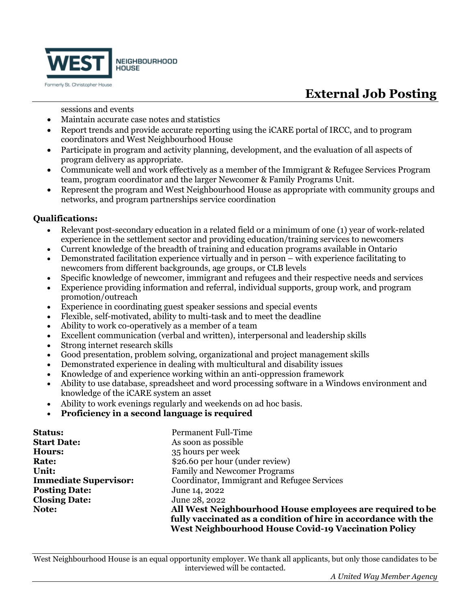

# **External Job Posting**

sessions and events

- Maintain accurate case notes and statistics
- Report trends and provide accurate reporting using the iCARE portal of IRCC, and to program coordinators and West Neighbourhood House
- Participate in program and activity planning, development, and the evaluation of all aspects of program delivery as appropriate.
- Communicate well and work effectively as a member of the Immigrant & Refugee Services Program team, program coordinator and the larger Newcomer & Family Programs Unit.
- Represent the program and West Neighbourhood House as appropriate with community groups and networks, and program partnerships service coordination

#### **Qualifications:**

- Relevant post-secondary education in a related field or a minimum of one (1) year of work-related experience in the settlement sector and providing education/training services to newcomers
- Current knowledge of the breadth of training and education programs available in Ontario
- Demonstrated facilitation experience virtually and in person with experience facilitating to newcomers from different backgrounds, age groups, or CLB levels
- Specific knowledge of newcomer, immigrant and refugees and their respective needs and services
- Experience providing information and referral, individual supports, group work, and program promotion/outreach
- Experience in coordinating guest speaker sessions and special events
- Flexible, self-motivated, ability to multi-task and to meet the deadline
- Ability to work co-operatively as a member of a team
- Excellent communication (verbal and written), interpersonal and leadership skills
- Strong internet research skills
- Good presentation, problem solving, organizational and project management skills
- Demonstrated experience in dealing with multicultural and disability issues
- Knowledge of and experience working within an anti-oppression framework
- Ability to use database, spreadsheet and word processing software in a Windows environment and knowledge of the iCARE system an asset
- Ability to work evenings regularly and weekends on ad hoc basis.
- **Proficiency in a second language is required**

| <b>Status:</b>               | <b>Permanent Full-Time</b>                                     |
|------------------------------|----------------------------------------------------------------|
| <b>Start Date:</b>           | As soon as possible                                            |
| Hours:                       | 35 hours per week                                              |
| <b>Rate:</b>                 | \$26.60 per hour (under review)                                |
| Unit:                        | <b>Family and Newcomer Programs</b>                            |
| <b>Immediate Supervisor:</b> | Coordinator, Immigrant and Refugee Services                    |
| <b>Posting Date:</b>         | June 14, 2022                                                  |
| <b>Closing Date:</b>         | June 28, 2022                                                  |
| Note:                        | All West Neighbourhood House employees are required to be      |
|                              | fully vaccinated as a condition of hire in accordance with the |
|                              | <b>West Neighbourhood House Covid-19 Vaccination Policy</b>    |

West Neighbourhood House is an equal opportunity employer. We thank all applicants, but only those candidates to be interviewed will be contacted.